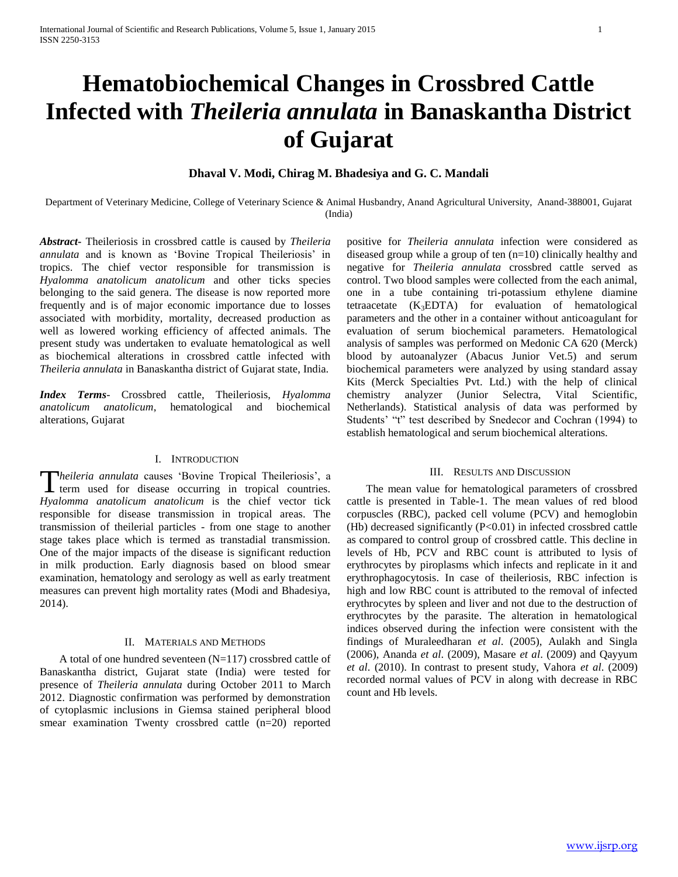# **Hematobiochemical Changes in Crossbred Cattle Infected with** *Theileria annulata* **in Banaskantha District of Gujarat**

## **Dhaval V. Modi, Chirag M. Bhadesiya and G. C. Mandali**

Department of Veterinary Medicine, College of Veterinary Science & Animal Husbandry, Anand Agricultural University, Anand-388001, Gujarat (India)

*Abstract***-** Theileriosis in crossbred cattle is caused by *Theileria annulata* and is known as 'Bovine Tropical Theileriosis' in tropics. The chief vector responsible for transmission is *Hyalomma anatolicum anatolicum* and other ticks species belonging to the said genera. The disease is now reported more frequently and is of major economic importance due to losses associated with morbidity, mortality, decreased production as well as lowered working efficiency of affected animals. The present study was undertaken to evaluate hematological as well as biochemical alterations in crossbred cattle infected with *Theileria annulata* in Banaskantha district of Gujarat state, India.

*Index Terms*- Crossbred cattle, Theileriosis, *Hyalomma anatolicum anatolicum*, hematological and biochemical alterations, Gujarat

### I. INTRODUCTION

*heileria annulata* causes "Bovine Tropical Theileriosis", a Theileria annulata causes 'Bovine Tropical Theileriosis', a term used for disease occurring in tropical countries. *Hyalomma anatolicum anatolicum* is the chief vector tick responsible for disease transmission in tropical areas. The transmission of theilerial particles - from one stage to another stage takes place which is termed as transtadial transmission. One of the major impacts of the disease is significant reduction in milk production. Early diagnosis based on blood smear examination, hematology and serology as well as early treatment measures can prevent high mortality rates (Modi and Bhadesiya, 2014).

#### II. MATERIALS AND METHODS

 A total of one hundred seventeen (N=117) crossbred cattle of Banaskantha district, Gujarat state (India) were tested for presence of *Theileria annulata* during October 2011 to March 2012. Diagnostic confirmation was performed by demonstration of cytoplasmic inclusions in Giemsa stained peripheral blood smear examination Twenty crossbred cattle (n=20) reported positive for *Theileria annulata* infection were considered as diseased group while a group of ten (n=10) clinically healthy and negative for *Theileria annulata* crossbred cattle served as control. Two blood samples were collected from the each animal, one in a tube containing tri-potassium ethylene diamine tetraacetate  $(K_3EDTA)$  for evaluation of hematological parameters and the other in a container without anticoagulant for evaluation of serum biochemical parameters. Hematological analysis of samples was performed on Medonic CA 620 (Merck) blood by autoanalyzer (Abacus Junior Vet.5) and serum biochemical parameters were analyzed by using standard assay Kits (Merck Specialties Pvt. Ltd.) with the help of clinical chemistry analyzer (Junior Selectra, Vital Scientific, Netherlands). Statistical analysis of data was performed by Students' "t" test described by Snedecor and Cochran (1994) to establish hematological and serum biochemical alterations.

#### III. RESULTS AND DISCUSSION

 The mean value for hematological parameters of crossbred cattle is presented in Table-1. The mean values of red blood corpuscles (RBC), packed cell volume (PCV) and hemoglobin (Hb) decreased significantly (P<0.01) in infected crossbred cattle as compared to control group of crossbred cattle. This decline in levels of Hb, PCV and RBC count is attributed to lysis of erythrocytes by piroplasms which infects and replicate in it and erythrophagocytosis. In case of theileriosis, RBC infection is high and low RBC count is attributed to the removal of infected erythrocytes by spleen and liver and not due to the destruction of erythrocytes by the parasite. The alteration in hematological indices observed during the infection were consistent with the findings of Muraleedharan *et al*. (2005), Aulakh and Singla (2006), Ananda *et al*. (2009), Masare *et al*. (2009) and Qayyum *et al*. (2010). In contrast to present study, Vahora *et al*. (2009) recorded normal values of PCV in along with decrease in RBC count and Hb levels.

www.ijsrp.org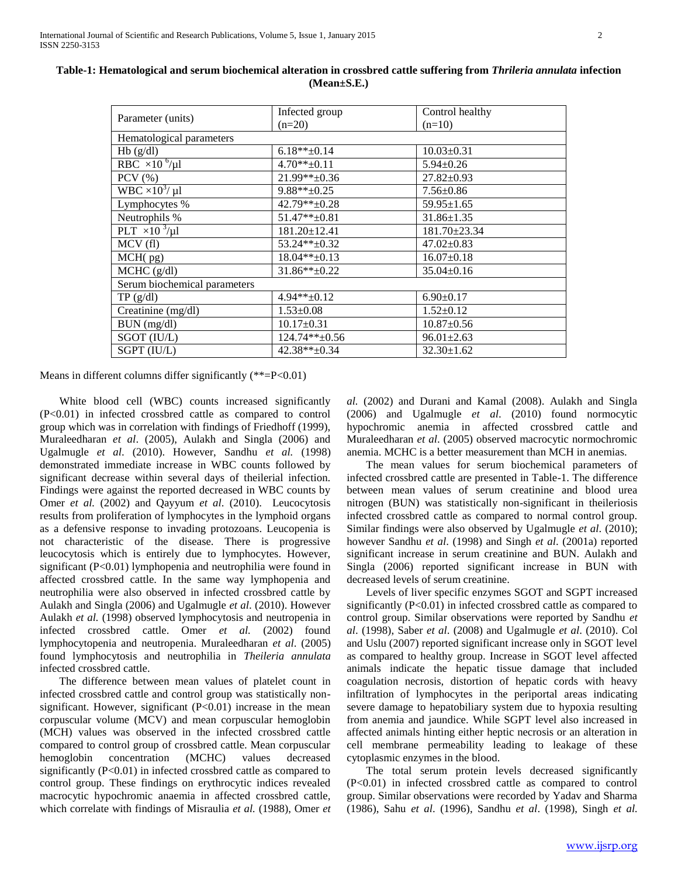| Parameter (units)                | Infected group     | Control healthy  |
|----------------------------------|--------------------|------------------|
|                                  | $(n=20)$           | $(n=10)$         |
| Hematological parameters         |                    |                  |
| Hb(g/dl)                         | $6.18**+0.14$      | $10.03 \pm 0.31$ |
| RBC $\times 10^{-6}$ /µl         | $4.70**+0.11$      | $5.94 \pm 0.26$  |
| $PCV$ $%$                        | 21.99**±0.36       | $27.82 \pm 0.93$ |
| WBC $\times 10^3$ / µl           | $9.88**+0.25$      | $7.56 \pm 0.86$  |
| Lymphocytes %                    | $42.79**+0.28$     | $59.95 \pm 1.65$ |
| Neutrophils %                    | 51.47**±0.81       | $31.86 \pm 1.35$ |
| PLT $\times$ 10 <sup>3</sup> /µl | $181.20 \pm 12.41$ | 181.70±23.34     |
| MCV(f)                           | 53.24**±0.32       | $47.02 \pm 0.83$ |
| MCH(pg)                          | $18.04**+0.13$     | $16.07 \pm 0.18$ |
| $MCHC$ (g/dl)                    | $31.86**+0.22$     | $35.04 \pm 0.16$ |
| Serum biochemical parameters     |                    |                  |
| TP(g/dl)                         | $4.94**+0.12$      | $6.90 \pm 0.17$  |
| Creatinine (mg/dl)               | $1.53 \pm 0.08$    | $1.52 \pm 0.12$  |
| BUN (mg/dl)                      | $10.17 \pm 0.31$   | $10.87 \pm 0.56$ |
| SGOT (IU/L)                      | $124.74**+0.56$    | $96.01 \pm 2.63$ |
| SGPT (IU/L)                      | 42.38**±0.34       | $32.30 \pm 1.62$ |
|                                  |                    |                  |

**Table-1: Hematological and serum biochemical alteration in crossbred cattle suffering from** *Thrileria annulata* **infection (Mean±S.E.)**

Means in different columns differ significantly  $(*=P<0.01)$ 

 White blood cell (WBC) counts increased significantly (P<0.01) in infected crossbred cattle as compared to control group which was in correlation with findings of Friedhoff (1999), Muraleedharan *et al*. (2005), Aulakh and Singla (2006) and Ugalmugle *et al*. (2010). However, Sandhu *et al.* (1998) demonstrated immediate increase in WBC counts followed by significant decrease within several days of theilerial infection. Findings were against the reported decreased in WBC counts by Omer *et al.* (2002) and Qayyum *et al*. (2010). Leucocytosis results from proliferation of lymphocytes in the lymphoid organs as a defensive response to invading protozoans. Leucopenia is not characteristic of the disease. There is progressive leucocytosis which is entirely due to lymphocytes. However, significant (P<0.01) lymphopenia and neutrophilia were found in affected crossbred cattle. In the same way lymphopenia and neutrophilia were also observed in infected crossbred cattle by Aulakh and Singla (2006) and Ugalmugle *et al*. (2010). However Aulakh *et al.* (1998) observed lymphocytosis and neutropenia in infected crossbred cattle. Omer *et al.* (2002) found lymphocytopenia and neutropenia. Muraleedharan *et al*. (2005) found lymphocytosis and neutrophilia in *Theileria annulata* infected crossbred cattle.

 The difference between mean values of platelet count in infected crossbred cattle and control group was statistically nonsignificant. However, significant  $(P<0.01)$  increase in the mean corpuscular volume (MCV) and mean corpuscular hemoglobin (MCH) values was observed in the infected crossbred cattle compared to control group of crossbred cattle. Mean corpuscular hemoglobin concentration (MCHC) values decreased significantly (P<0.01) in infected crossbred cattle as compared to control group. These findings on erythrocytic indices revealed macrocytic hypochromic anaemia in affected crossbred cattle, which correlate with findings of Misraulia *et al.* (1988), Omer *et*  *al.* (2002) and Durani and Kamal (2008). Aulakh and Singla (2006) and Ugalmugle *et al*. (2010) found normocytic hypochromic anemia in affected crossbred cattle and Muraleedharan *et al*. (2005) observed macrocytic normochromic anemia. MCHC is a better measurement than MCH in anemias.

 The mean values for serum biochemical parameters of infected crossbred cattle are presented in Table-1. The difference between mean values of serum creatinine and blood urea nitrogen (BUN) was statistically non-significant in theileriosis infected crossbred cattle as compared to normal control group. Similar findings were also observed by Ugalmugle *et al*. (2010); however Sandhu *et al*. (1998) and Singh *et al*. (2001a) reported significant increase in serum creatinine and BUN. Aulakh and Singla (2006) reported significant increase in BUN with decreased levels of serum creatinine.

 Levels of liver specific enzymes SGOT and SGPT increased significantly  $(P<0.01)$  in infected crossbred cattle as compared to control group. Similar observations were reported by Sandhu *et al*. (1998), Saber *et al*. (2008) and Ugalmugle *et al*. (2010). Col and Uslu (2007) reported significant increase only in SGOT level as compared to healthy group. Increase in SGOT level affected animals indicate the hepatic tissue damage that included coagulation necrosis, distortion of hepatic cords with heavy infiltration of lymphocytes in the periportal areas indicating severe damage to hepatobiliary system due to hypoxia resulting from anemia and jaundice. While SGPT level also increased in affected animals hinting either heptic necrosis or an alteration in cell membrane permeability leading to leakage of these cytoplasmic enzymes in the blood.

 The total serum protein levels decreased significantly (P<0.01) in infected crossbred cattle as compared to control group. Similar observations were recorded by Yadav and Sharma (1986), Sahu *et al*. (1996), Sandhu *et al*. (1998), Singh *et al.*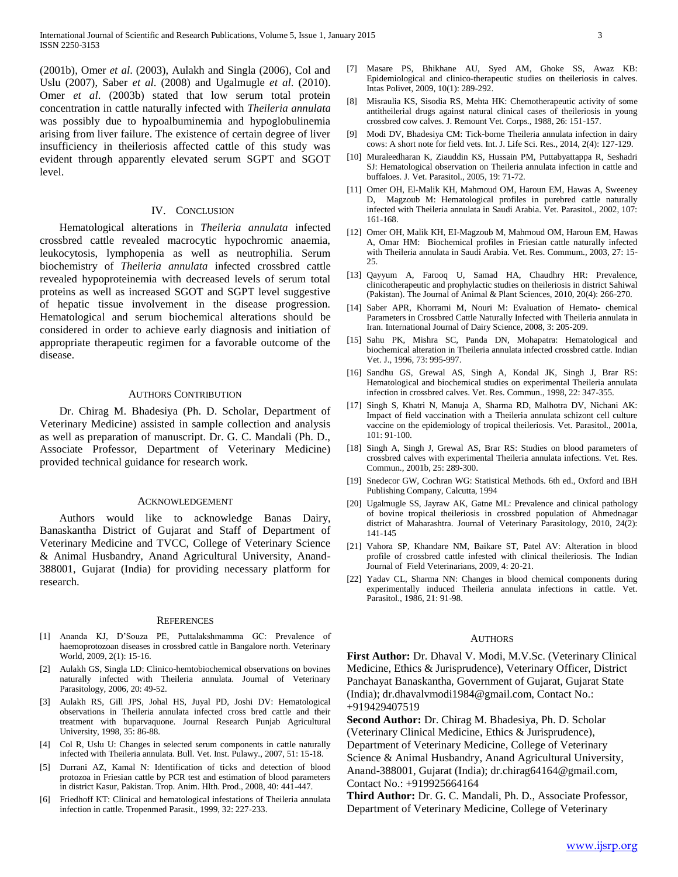(2001b), Omer *et al*. (2003), Aulakh and Singla (2006), Col and Uslu (2007), Saber *et al*. (2008) and Ugalmugle *et al*. (2010). Omer *et al*. (2003b) stated that low serum total protein concentration in cattle naturally infected with *Theileria annulata* was possibly due to hypoalbuminemia and hypoglobulinemia arising from liver failure. The existence of certain degree of liver insufficiency in theileriosis affected cattle of this study was evident through apparently elevated serum SGPT and SGOT level.

#### IV. CONCLUSION

 Hematological alterations in *Theileria annulata* infected crossbred cattle revealed macrocytic hypochromic anaemia, leukocytosis, lymphopenia as well as neutrophilia. Serum biochemistry of *Theileria annulata* infected crossbred cattle revealed hypoproteinemia with decreased levels of serum total proteins as well as increased SGOT and SGPT level suggestive of hepatic tissue involvement in the disease progression. Hematological and serum biochemical alterations should be considered in order to achieve early diagnosis and initiation of appropriate therapeutic regimen for a favorable outcome of the disease.

### AUTHORS CONTRIBUTION

 Dr. Chirag M. Bhadesiya (Ph. D. Scholar, Department of Veterinary Medicine) assisted in sample collection and analysis as well as preparation of manuscript. Dr. G. C. Mandali (Ph. D., Associate Professor, Department of Veterinary Medicine) provided technical guidance for research work.

#### ACKNOWLEDGEMENT

 Authors would like to acknowledge Banas Dairy, Banaskantha District of Gujarat and Staff of Department of Veterinary Medicine and TVCC, College of Veterinary Science & Animal Husbandry, Anand Agricultural University, Anand-388001, Gujarat (India) for providing necessary platform for research.

#### **REFERENCES**

- [1] Ananda KJ, D"Souza PE, Puttalakshmamma GC: Prevalence of haemoprotozoan diseases in crossbred cattle in Bangalore north. Veterinary World, 2009, 2(1): 15-16.
- [2] Aulakh GS, Singla LD: Clinico-hemtobiochemical observations on bovines naturally infected with Theileria annulata. Journal of Veterinary Parasitology, 2006, 20: 49-52.
- [3] Aulakh RS, Gill JPS, Johal HS, Juyal PD, Joshi DV: Hematological observations in Theileria annulata infected cross bred cattle and their treatment with buparvaquone. Journal Research Punjab Agricultural University, 1998, 35: 86-88.
- [4] Col R, Uslu U: Changes in selected serum components in cattle naturally infected with Theileria annulata. Bull. Vet. Inst. Pulawy., 2007, 51: 15-18.
- [5] Durrani AZ, Kamal N: Identification of ticks and detection of blood protozoa in Friesian cattle by PCR test and estimation of blood parameters in district Kasur, Pakistan. Trop. Anim. Hlth. Prod., 2008, 40: 441-447.
- Friedhoff KT: Clinical and hematological infestations of Theileria annulata infection in cattle. Tropenmed Parasit., 1999, 32: 227-233.
- [7] Masare PS, Bhikhane AU, Syed AM, Ghoke SS, Awaz KB: Epidemiological and clinico-therapeutic studies on theileriosis in calves. Intas Polivet, 2009, 10(1): 289-292.
- [8] Misraulia KS, Sisodia RS, Mehta HK: Chemotherapeutic activity of some antitheilerial drugs against natural clinical cases of theileriosis in young crossbred cow calves. J. Remount Vet. Corps., 1988, 26: 151-157.
- [9] Modi DV, Bhadesiya CM: Tick-borne Theileria annulata infection in dairy cows: A short note for field vets. Int. J. Life Sci. Res., 2014, 2(4): 127-129.
- [10] Muraleedharan K, Ziauddin KS, Hussain PM, Puttabyattappa R, Seshadri SJ: Hematological observation on Theileria annulata infection in cattle and buffaloes. J. Vet. Parasitol., 2005, 19: 71-72.
- [11] Omer OH, El-Malik KH, Mahmoud OM, Haroun EM, Hawas A, Sweeney D, Magzoub M: Hematological profiles in purebred cattle naturally infected with Theileria annulata in Saudi Arabia. Vet. Parasitol., 2002, 107: 161-168.
- [12] Omer OH, Malik KH, EI-Magzoub M, Mahmoud OM, Haroun EM, Hawas A, Omar HM: Biochemical profiles in Friesian cattle naturally infected with Theileria annulata in Saudi Arabia. Vet. Res. Commum., 2003, 27: 15- 25.
- [13] Qayyum A, Farooq U, Samad HA, Chaudhry HR: Prevalence, clinicotherapeutic and prophylactic studies on theileriosis in district Sahiwal (Pakistan). The Journal of Animal & Plant Sciences, 2010, 20(4): 266-270.
- [14] Saber APR, Khorrami M, Nouri M: Evaluation of Hemato- chemical Parameters in Crossbred Cattle Naturally Infected with Theileria annulata in Iran. International Journal of Dairy Science, 2008, 3: 205-209.
- [15] Sahu PK, Mishra SC, Panda DN, Mohapatra: Hematological and biochemical alteration in Theileria annulata infected crossbred cattle. Indian Vet. J., 1996, 73: 995-997.
- [16] Sandhu GS, Grewal AS, Singh A, Kondal JK, Singh J, Brar RS: Hematological and biochemical studies on experimental Theileria annulata infection in crossbred calves. Vet. Res. Commun., 1998, 22: 347-355.
- [17] Singh S, Khatri N, Manuja A, Sharma RD, Malhotra DV, Nichani AK: Impact of field vaccination with a Theileria annulata schizont cell culture vaccine on the epidemiology of tropical theileriosis. Vet. Parasitol., 2001a, 101: 91-100.
- [18] Singh A, Singh J, Grewal AS, Brar RS: Studies on blood parameters of crossbred calves with experimental Theileria annulata infections. Vet. Res. Commun., 2001b, 25: 289-300.
- [19] Snedecor GW, Cochran WG: Statistical Methods. 6th ed., Oxford and IBH Publishing Company, Calcutta, 1994
- [20] Ugalmugle SS, Jayraw AK, Gatne ML: Prevalence and clinical pathology of bovine tropical theileriosis in crossbred population of Ahmednagar district of Maharashtra. Journal of Veterinary Parasitology, 2010, 24(2): 141-145
- [21] Vahora SP, Khandare NM, Baikare ST, Patel AV: Alteration in blood profile of crossbred cattle infested with clinical theileriosis. The Indian Journal of Field Veterinarians, 2009, 4: 20-21.
- [22] Yadav CL, Sharma NN: Changes in blood chemical components during experimentally induced Theileria annulata infections in cattle. Vet. Parasitol., 1986, 21: 91-98.

#### AUTHORS

**First Author:** Dr. Dhaval V. Modi, M.V.Sc. (Veterinary Clinical Medicine, Ethics & Jurisprudence), Veterinary Officer, District Panchayat Banaskantha, Government of Gujarat, Gujarat State (India); dr.dhavalvmodi1984@gmail.com, Contact No.: +919429407519

**Second Author:** Dr. Chirag M. Bhadesiya, Ph. D. Scholar (Veterinary Clinical Medicine, Ethics & Jurisprudence), Department of Veterinary Medicine, College of Veterinary Science & Animal Husbandry, Anand Agricultural University, Anand-388001, Gujarat (India); dr.chirag64164@gmail.com, Contact No.: +919925664164

**Third Author:** Dr. G. C. Mandali, Ph. D., Associate Professor, Department of Veterinary Medicine, College of Veterinary